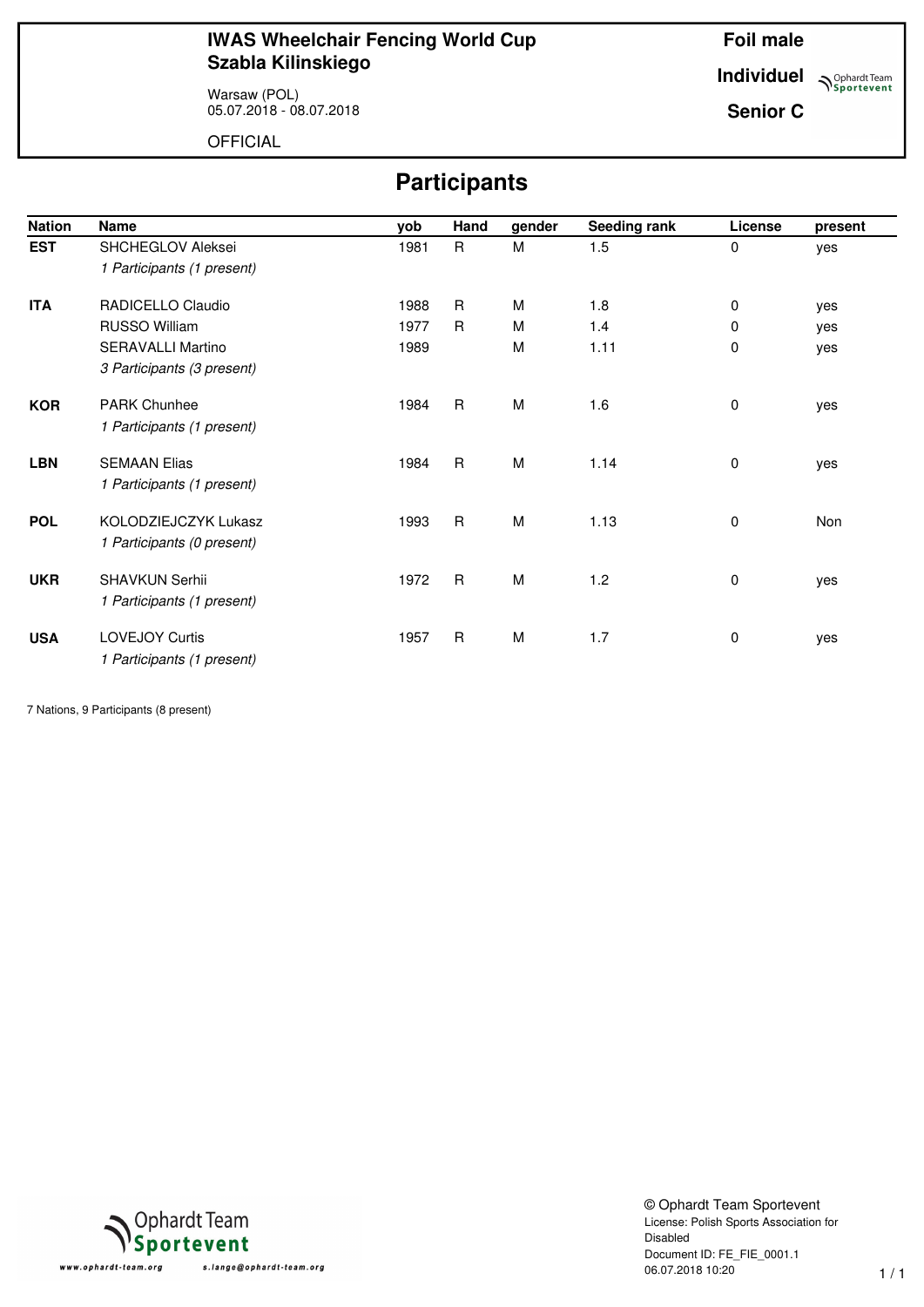Warsaw (POL) 05.07.2018 - 08.07.2018 **Foil male**

**Individuel Sportevent** 

**Senior C**

OFFICIAL

# **Participants**

| <b>Nation</b> | <b>Name</b>                | yob  | Hand         | gender | Seeding rank | License | present |
|---------------|----------------------------|------|--------------|--------|--------------|---------|---------|
| <b>EST</b>    | SHCHEGLOV Aleksei          | 1981 | R            | M      | 1.5          | 0       | yes     |
|               | 1 Participants (1 present) |      |              |        |              |         |         |
| <b>ITA</b>    | RADICELLO Claudio          | 1988 | $\mathsf{R}$ | M      | 1.8          | 0       | yes     |
|               | <b>RUSSO William</b>       | 1977 | $\mathsf{R}$ | M      | 1.4          | 0       | yes     |
|               | <b>SERAVALLI Martino</b>   | 1989 |              | M      | 1.11         | 0       | yes     |
|               | 3 Participants (3 present) |      |              |        |              |         |         |
| <b>KOR</b>    | <b>PARK Chunhee</b>        | 1984 | $\mathsf{R}$ | M      | 1.6          | 0       | yes     |
|               | 1 Participants (1 present) |      |              |        |              |         |         |
| <b>LBN</b>    | <b>SEMAAN Elias</b>        | 1984 | $\mathsf{R}$ | M      | 1.14         | 0       | yes     |
|               | 1 Participants (1 present) |      |              |        |              |         |         |
| <b>POL</b>    | KOLODZIEJCZYK Lukasz       | 1993 | $\mathsf{R}$ | M      | 1.13         | 0       | Non     |
|               | 1 Participants (0 present) |      |              |        |              |         |         |
| <b>UKR</b>    | SHAVKUN Serhii             | 1972 | $\mathsf{R}$ | M      | 1.2          | 0       | yes     |
|               | 1 Participants (1 present) |      |              |        |              |         |         |
| <b>USA</b>    | <b>LOVEJOY Curtis</b>      | 1957 | $\mathsf R$  | M      | 1.7          | 0       | yes     |
|               | 1 Participants (1 present) |      |              |        |              |         |         |

7 Nations, 9 Participants (8 present)



© Ophardt Team Sportevent License: Polish Sports Association for Disabled Document ID: FE\_FIE\_0001.1 06.07.2018 10:20 1 / 1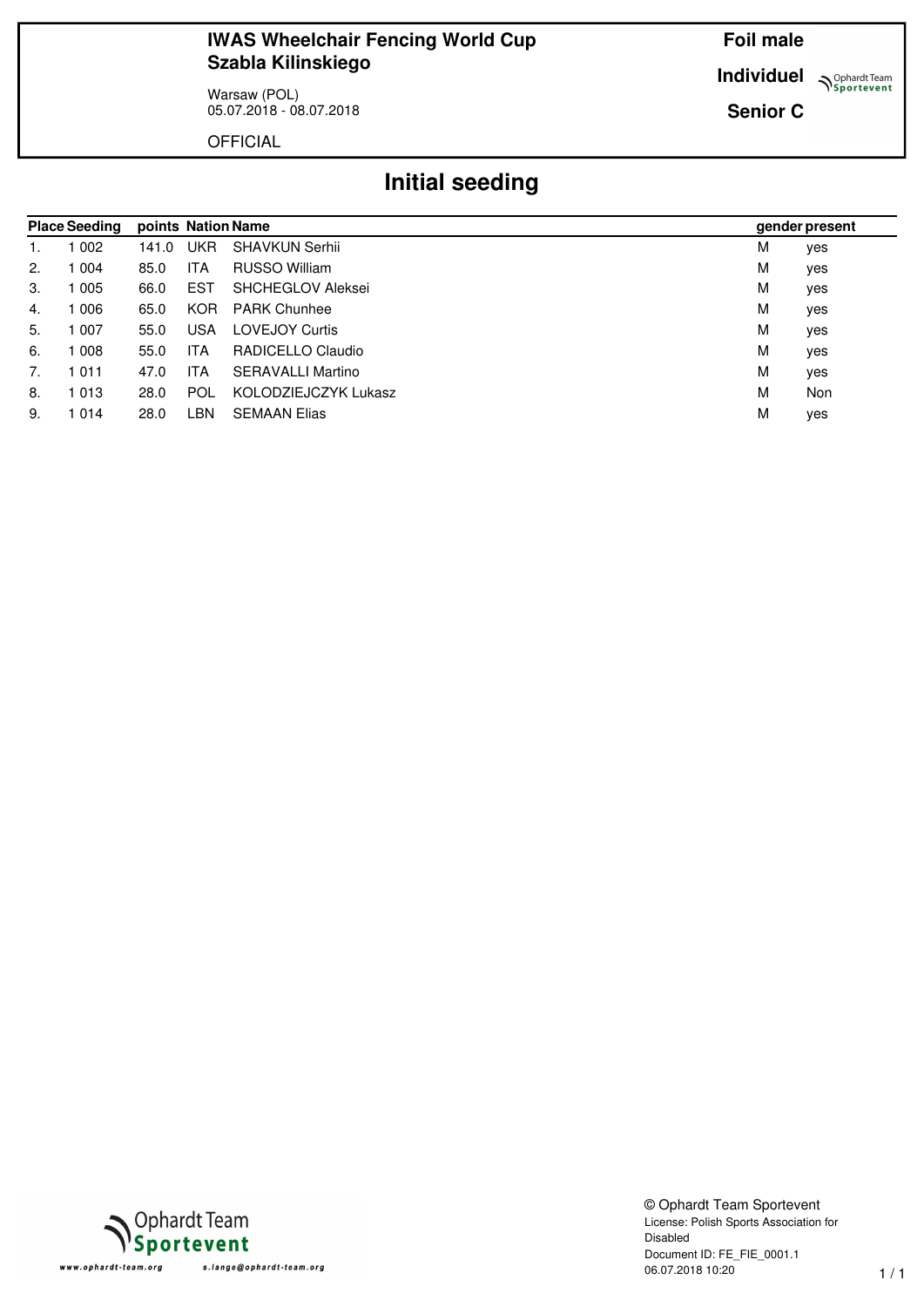Warsaw (POL) 05.07.2018 - 08.07.2018 **Foil male**

**Individuel Sportevent** 

**Senior C**

OFFICIAL

# **Initial seeding**

|    | <b>Place Seeding</b> |       |            | points Nation Name       |   | gender present |
|----|----------------------|-------|------------|--------------------------|---|----------------|
| 1. | 002                  | 141.0 | UKR        | <b>SHAVKUN Serhii</b>    | M | yes            |
| 2. | 004                  | 85.0  | <b>ITA</b> | RUSSO William            | M | yes            |
| 3. | 005                  | 66.0  | EST        | SHCHEGLOV Aleksei        | M | yes            |
| 4. | 006                  | 65.0  | <b>KOR</b> | <b>PARK Chunhee</b>      | M | yes            |
| 5. | 007                  | 55.0  | <b>USA</b> | <b>LOVEJOY Curtis</b>    | M | yes            |
| 6. | 008                  | 55.0  | <b>ITA</b> | RADICELLO Claudio        | M | yes            |
| 7. | 1011                 | 47.0  | <b>ITA</b> | <b>SERAVALLI Martino</b> | M | yes            |
| 8. | 1013                 | 28.0  | <b>POL</b> | KOLODZIEJCZYK Lukasz     | M | Non            |
| 9. | 1014                 | 28.0  | .BN        | <b>SEMAAN Elias</b>      | M | yes            |



© Ophardt Team Sportevent License: Polish Sports Association for Disabled Document ID: FE\_FIE\_0001.1 06.07.2018 10:20 1 / 1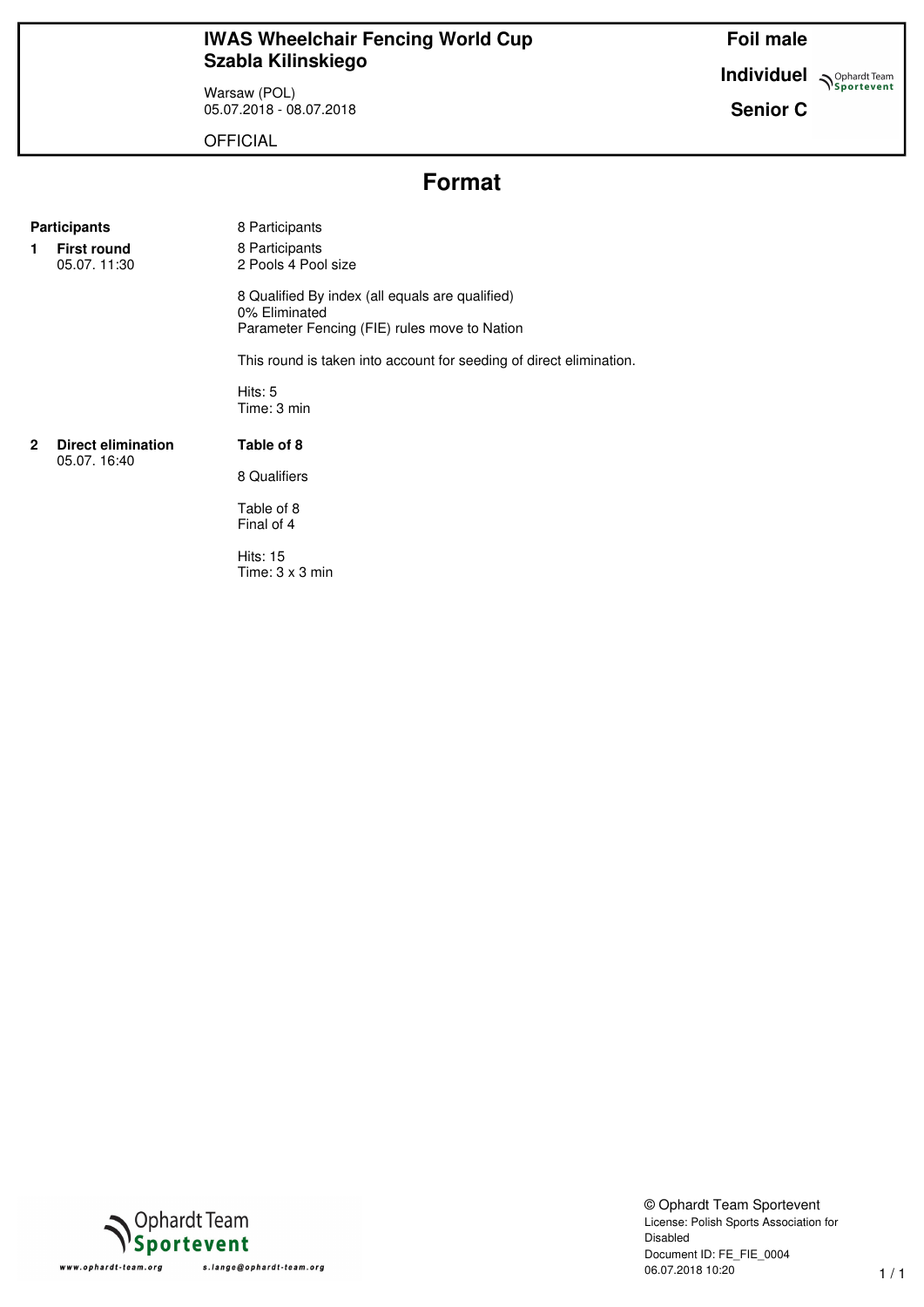Warsaw (POL) 05.07.2018 - 08.07.2018 **Foil male**

**Individuel Supplement**  $\sum_{\text{Sportevent}}$ 

**Senior C**

**OFFICIAL** 

# **Format**

#### **Participants** 8 Participants

**1 First round** 05.07. 11:30 8 Participants 2 Pools 4 Pool size

8 Qualified By index (all equals are qualified) 0% Eliminated Parameter Fencing (FIE) rules move to Nation

This round is taken into account for seeding of direct elimination.

Hits: 5 Time: 3 min

#### **2 Direct elimination** 05.07. 16:40

8 Qualifiers

**Table of 8**

Table of 8 Final of 4

Hits: 15 Time: 3 x 3 min



© Ophardt Team Sportevent License: Polish Sports Association for Disabled Document ID: FE\_FIE\_0004 06.07.2018 10:20 1 / 1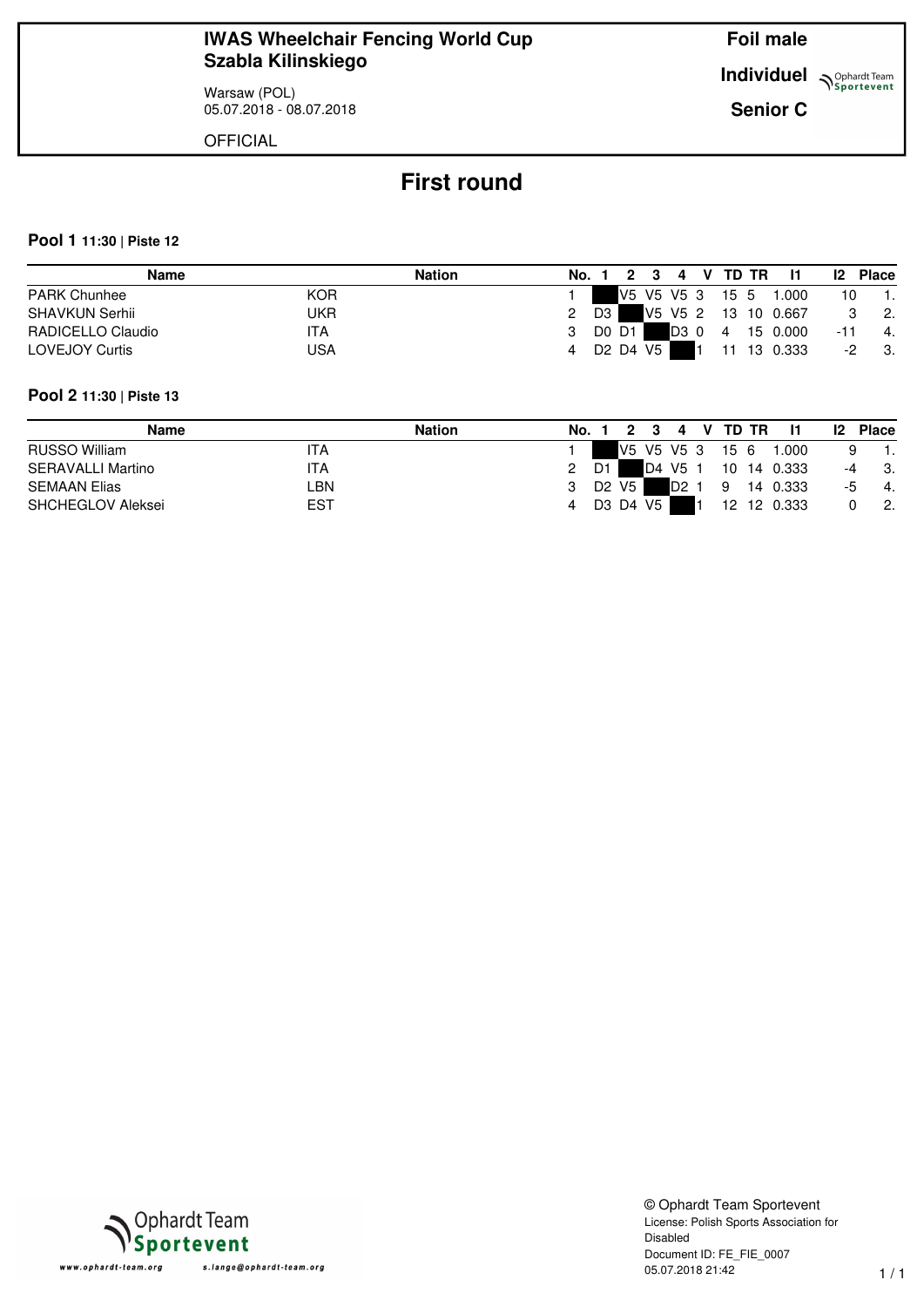Warsaw (POL) 05.07.2018 - 08.07.2018 **Foil male**

**Individuel N**Sportevent

**Senior C**

**OFFICIAL** 

# **First round**

#### **Pool 1 11:30 | Piste 12**

|                       | <b>Name</b> | <b>Nation</b> | No. 1 |    |            | 2 3 | 4                     | V TD TR         | - 11                | $\mathbf{I2}$ | <b>Place</b>                |
|-----------------------|-------------|---------------|-------|----|------------|-----|-----------------------|-----------------|---------------------|---------------|-----------------------------|
| <b>PARK Chunhee</b>   | <b>KOR</b>  |               |       |    |            |     |                       | V5 V5 V5 3 15 5 | 1.000               | 10            |                             |
| SHAVKUN Serhii        | JKR         |               |       | D3 |            |     |                       |                 | V5 V5 2 13 10 0.667 |               | $\overline{\phantom{a}}$ 2. |
| RADICELLO Claudio     | 'TA         |               |       |    | D0 D1      |     | $\mathbf{D}3 \quad 0$ | $\overline{4}$  | 15 0.000            | -11           | $-4.$                       |
| <b>LOVEJOY Curtis</b> | USA         |               |       |    | D2 D4 V5 I |     |                       |                 | 11 13 0.333         | -2            | - 3.                        |

#### **Pool 2 11:30 | Piste 13**

| Name                | <b>Nation</b> | No. |    |       |      | 4                | V TD TR |             | $12 \,$ | <b>Place</b> |
|---------------------|---------------|-----|----|-------|------|------------------|---------|-------------|---------|--------------|
| RUSSO William       | ITA           |     |    |       |      | V5 V5 V5 3       | 15 6    | 1.000       |         |              |
| SERAVALLI Martino   | ITA           |     | D1 |       | D4   | V5 1             |         | 10 14 0.333 | -4      | -3.          |
| <b>SEMAAN Elias</b> | LBN           |     |    | D2 V5 |      | D <sub>2</sub> 1 | 9       | 14 0.333    | -5      | -4.          |
| SHCHEGLOV Aleksei   | EST           |     |    | D3 D4 | V5 I |                  |         | 12 12 0.333 |         | -2.          |

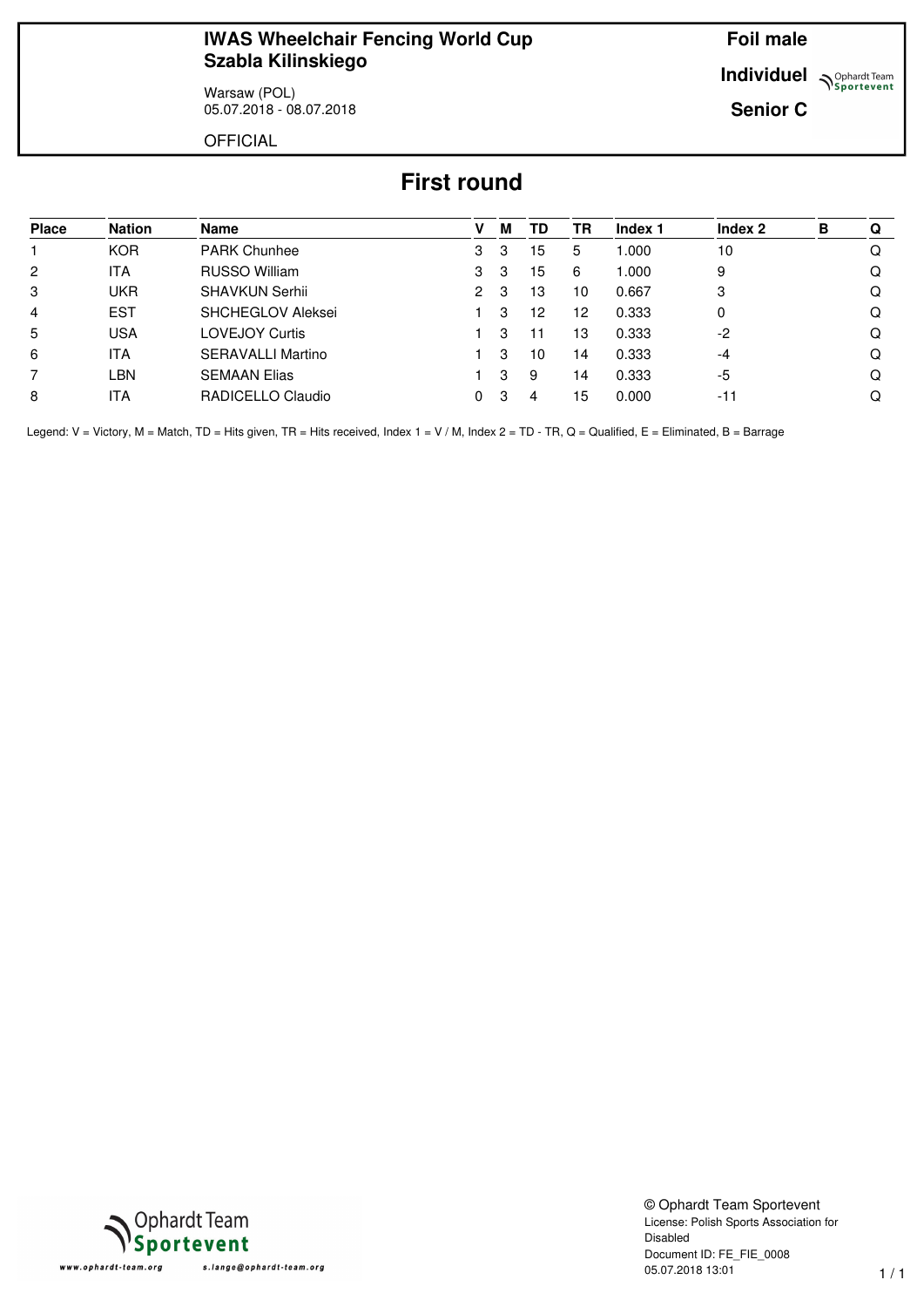Warsaw (POL) 05.07.2018 - 08.07.2018 **Foil male**

**Individuel Supplemant** Team

**Senior C**

**OFFICIAL** 

# **First round**

| <b>Place</b>   | <b>Nation</b> | Name                     | v | М | TD | TR | Index 1 | Index 2 | в | O |
|----------------|---------------|--------------------------|---|---|----|----|---------|---------|---|---|
|                | <b>KOR</b>    | <b>PARK Chunhee</b>      | 3 | 3 | 15 | 5  | 1.000   | 10      |   |   |
| $\overline{2}$ | ITA           | RUSSO William            | 3 | 3 | 15 | 6  | 1.000   | 9       |   |   |
| 3              | <b>UKR</b>    | <b>SHAVKUN Serhii</b>    | 2 | 3 | 13 | 10 | 0.667   | 3       |   |   |
| $\overline{4}$ | <b>EST</b>    | <b>SHCHEGLOV Aleksei</b> |   | З | 12 | 12 | 0.333   | 0       |   |   |
| 5              | <b>USA</b>    | <b>LOVEJOY Curtis</b>    |   | З | 11 | 13 | 0.333   | $-2$    |   |   |
| 6              | ITA           | <b>SERAVALLI Martino</b> |   | 3 | 10 | 14 | 0.333   | $-4$    |   |   |
| 7              | LBN           | <b>SEMAAN Elias</b>      |   | 3 | 9  | 14 | 0.333   | -5      |   |   |
| 8              | ITA           | RADICELLO Claudio        | 0 | 3 | 4  | 15 | 0.000   | $-11$   |   |   |

Legend: V = Victory, M = Match, TD = Hits given, TR = Hits received, Index 1 = V / M, Index 2 = TD - TR, Q = Qualified, E = Eliminated, B = Barrage



© Ophardt Team Sportevent License: Polish Sports Association for Disabled Document ID: FE\_FIE\_0008 05.07.2018 13:01 1 / 1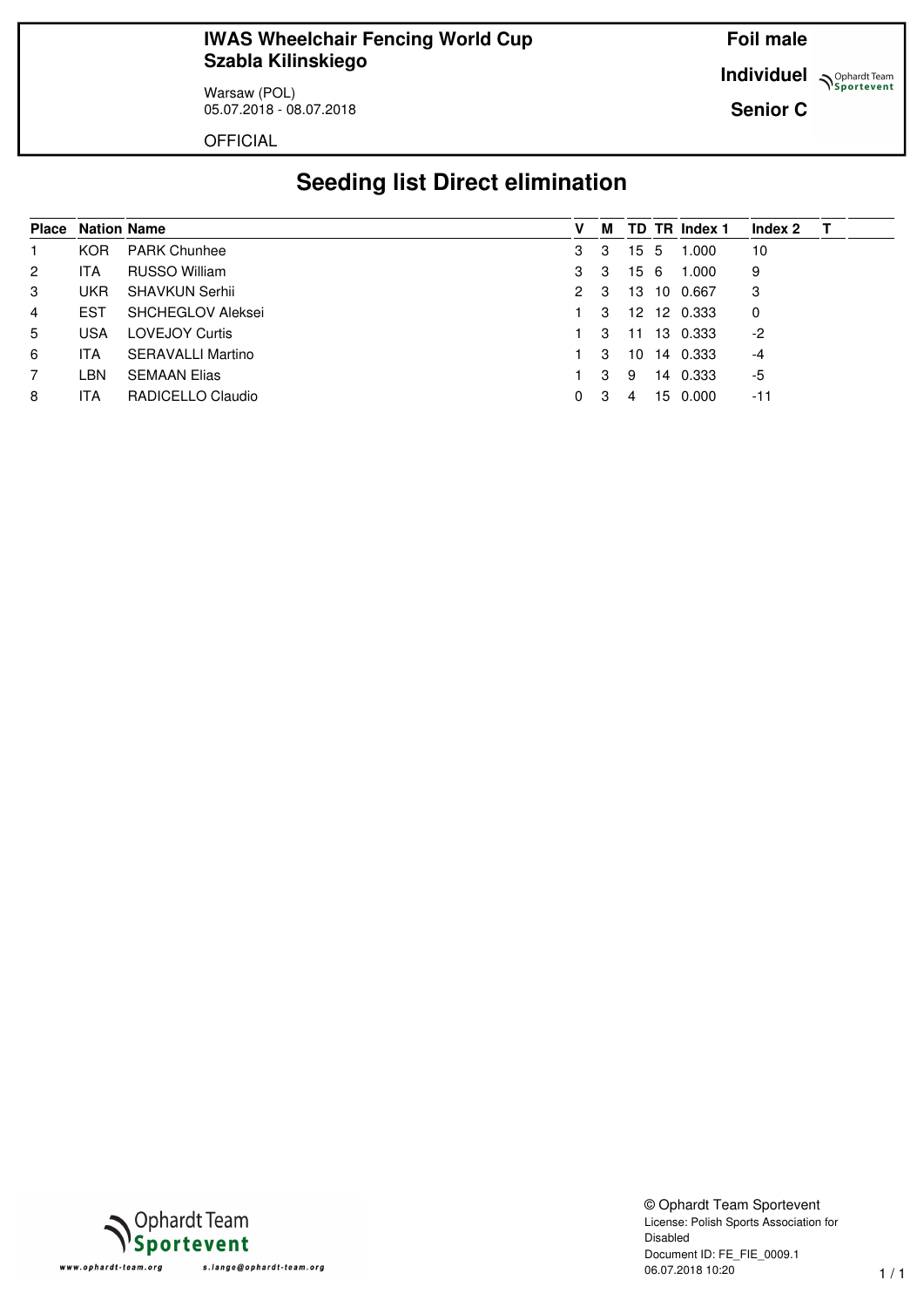Warsaw (POL) 05.07.2018 - 08.07.2018 **Foil male**

**Individuel Supplemant** Team

**Senior C**

**OFFICIAL** 

# **Seeding list Direct elimination**

|                | <b>Place Nation Name</b> |                          | v | м  |    |    | TD TR Index 1 | Index 2 |  |
|----------------|--------------------------|--------------------------|---|----|----|----|---------------|---------|--|
|                | <b>KOR</b>               | <b>PARK Chunhee</b>      | 3 | 3  | 15 | -5 | 1.000         | 10      |  |
| $\overline{2}$ | ITA                      | RUSSO William            | 3 | 3  | 15 | -6 | 1.000         | 9       |  |
| 3              | UKR.                     | <b>SHAVKUN Serhii</b>    | 2 | -3 | 13 | 10 | 0.667         | 3       |  |
| $\overline{4}$ | <b>EST</b>               | <b>SHCHEGLOV Aleksei</b> |   | 3  |    |    | 12 12 0.333   | 0       |  |
| 5              | USA                      | <b>LOVEJOY Curtis</b>    |   | 3  | 11 |    | 13 0.333      | $-2$    |  |
| 6              | ITA                      | <b>SERAVALLI Martino</b> |   | 3  | 10 | 14 | 0.333         | $-4$    |  |
| 7              | LBN.                     | <b>SEMAAN Elias</b>      |   | 3  | 9  | 14 | 0.333         | -5      |  |
| 8              | ITA                      | RADICELLO Claudio        | 0 | -3 | 4  | 15 | 0.000         | $-11$   |  |



© Ophardt Team Sportevent License: Polish Sports Association for Disabled Document ID: FE\_FIE\_0009.1 06.07.2018 10:20 1 / 1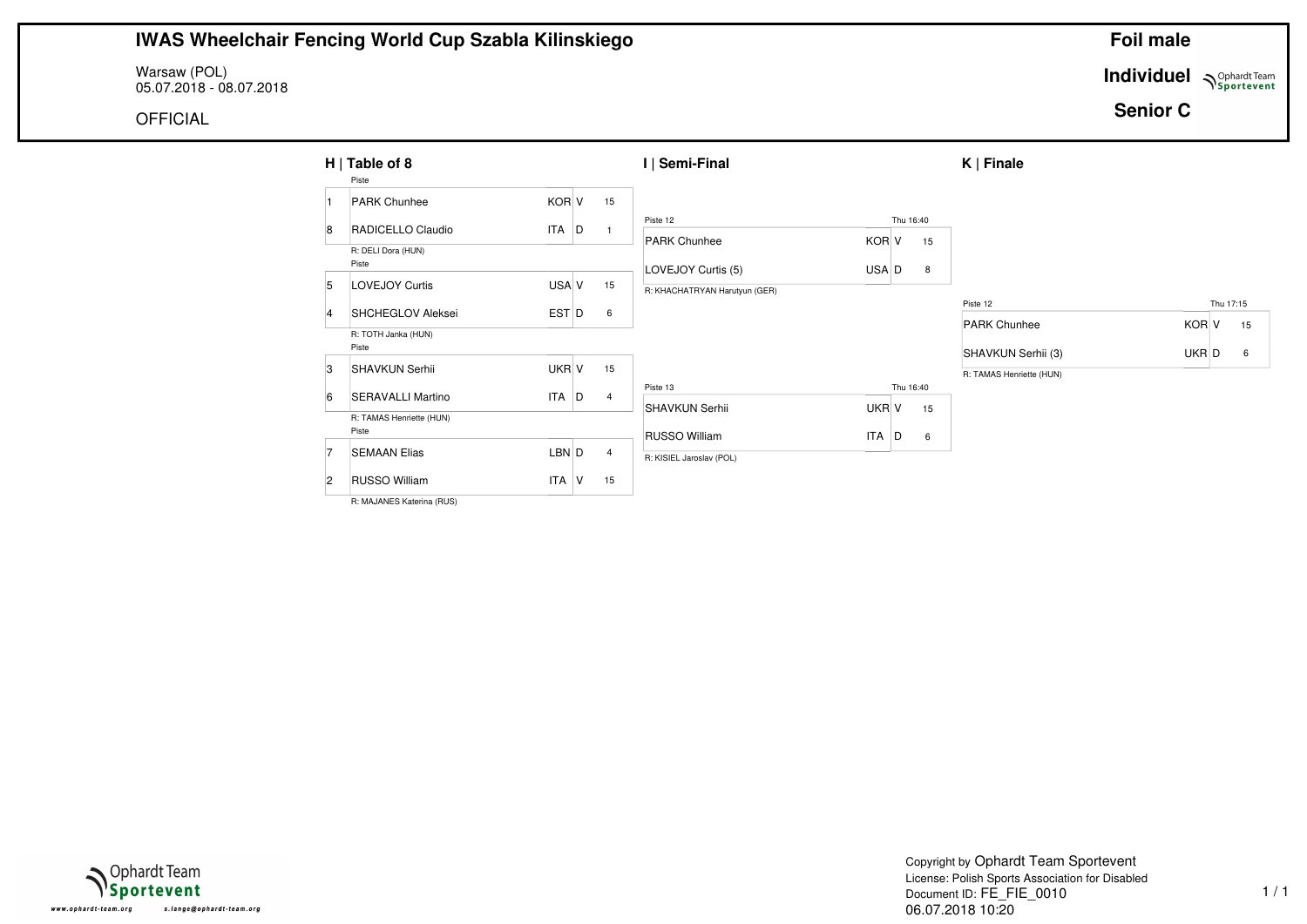Warsaw (POL) 05.07.2018 - 08.07.2018

OFFICIAL

**Individuel Supplardt Team** 

**Senior C**

|                | $H  $ Table of 8<br>Piste         |            |   |                | I   Semi-Final                |            |   |           | $K \mid$ Finale          |       |           |    |
|----------------|-----------------------------------|------------|---|----------------|-------------------------------|------------|---|-----------|--------------------------|-------|-----------|----|
|                | <b>PARK Chunhee</b>               | KOR V      |   | 15             |                               |            |   |           |                          |       |           |    |
| 8              | RADICELLO Claudio                 | <b>ITA</b> | D | $\overline{1}$ | Piste 12                      |            |   | Thu 16:40 |                          |       |           |    |
|                | R: DELI Dora (HUN)                |            |   |                | <b>PARK Chunhee</b>           | KOR V      |   | 15        |                          |       |           |    |
|                | Piste                             |            |   |                | LOVEJOY Curtis (5)            | USA D      |   | 8         |                          |       |           |    |
| 5              | <b>LOVEJOY Curtis</b>             | USA V      |   | 15             | R: KHACHATRYAN Harutyun (GER) |            |   |           |                          |       |           |    |
| $\overline{4}$ | SHCHEGLOV Aleksei                 | EST D      |   | 6              |                               |            |   |           | Piste 12                 |       | Thu 17:15 |    |
|                | R: TOTH Janka (HUN)               |            |   |                |                               |            |   |           | <b>PARK Chunhee</b>      | KOR V |           | 15 |
|                | Piste                             |            |   |                |                               |            |   |           | SHAVKUN Serhii (3)       | UKR D |           | 6  |
| 3              | <b>SHAVKUN Serhii</b>             | UKR V      |   | 15             |                               |            |   |           | R: TAMAS Henriette (HUN) |       |           |    |
| 6              | <b>SERAVALLI Martino</b>          | <b>ITA</b> | D | $\overline{4}$ | Piste 13                      |            |   | Thu 16:40 |                          |       |           |    |
|                |                                   |            |   |                | <b>SHAVKUN Serhii</b>         | UKR V      |   | 15        |                          |       |           |    |
|                | R: TAMAS Henriette (HUN)<br>Piste |            |   |                |                               |            |   |           |                          |       |           |    |
|                |                                   |            |   |                | <b>RUSSO William</b>          | <b>ITA</b> | D | 6         |                          |       |           |    |
|                | <b>SEMAAN Elias</b>               | LBN D      |   | $\overline{4}$ | R: KISIEL Jaroslav (POL)      |            |   |           |                          |       |           |    |
| $\overline{2}$ | <b>RUSSO William</b>              | <b>ITA</b> | v | 15             |                               |            |   |           |                          |       |           |    |

R: MAJANES Katerina (RUS)

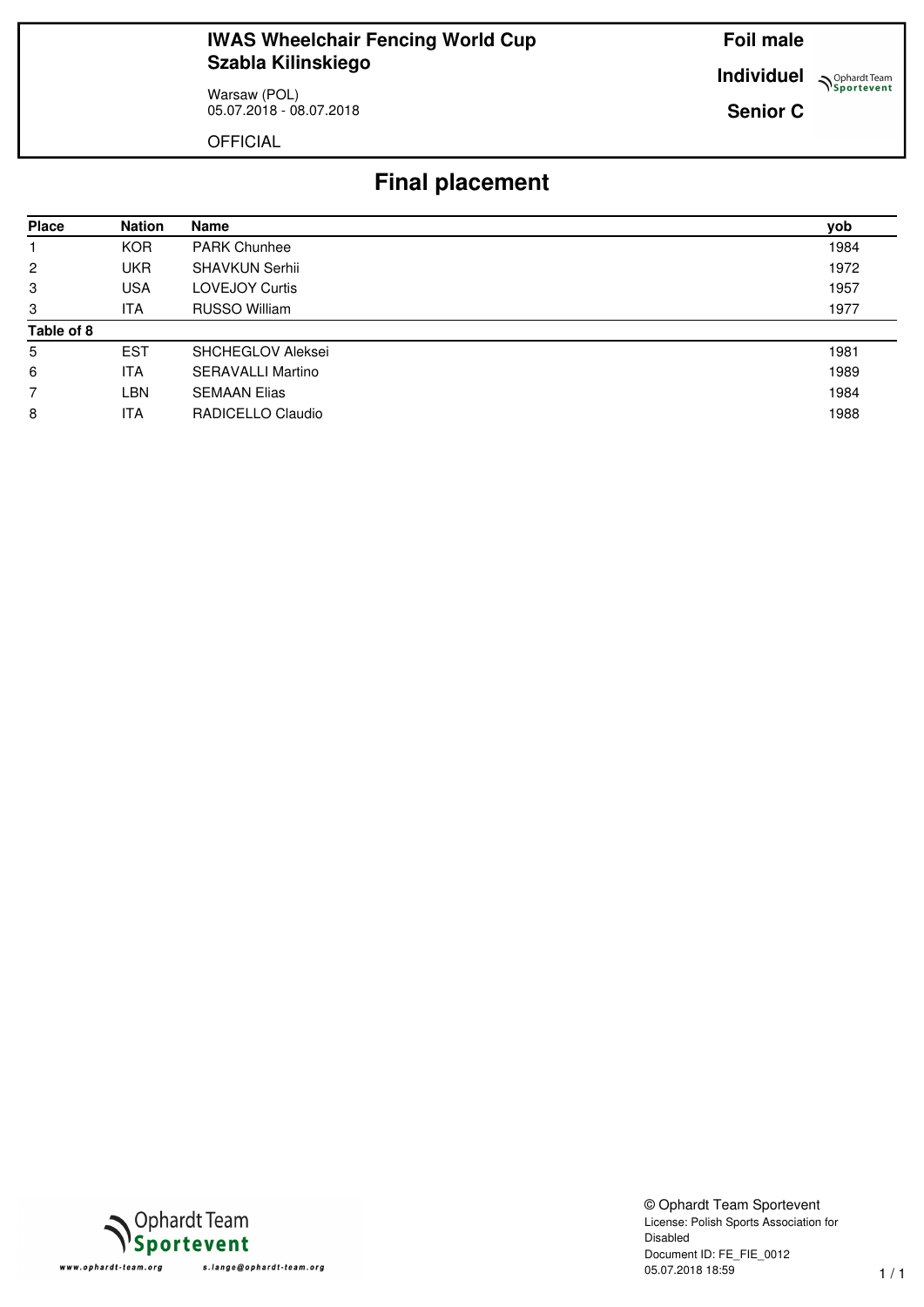Warsaw (POL) 05.07.2018 - 08.07.2018 **Foil male**

**Individuel Sportevent** 

**Senior C**

OFFICIAL

# **Final placement**

| <b>Place</b> | <b>Nation</b> | <b>Name</b>              | yob  |
|--------------|---------------|--------------------------|------|
|              | <b>KOR</b>    | <b>PARK Chunhee</b>      | 1984 |
| 2            | <b>UKR</b>    | <b>SHAVKUN Serhii</b>    | 1972 |
| 3            | <b>USA</b>    | <b>LOVEJOY Curtis</b>    | 1957 |
| 3            | ITA.          | RUSSO William            | 1977 |
| Table of 8   |               |                          |      |
| 5            | <b>EST</b>    | <b>SHCHEGLOV Aleksei</b> | 1981 |
| 6            | <b>ITA</b>    | <b>SERAVALLI Martino</b> | 1989 |
|              | LBN           | <b>SEMAAN Elias</b>      | 1984 |
| 8            | ITA.          | RADICELLO Claudio        | 1988 |



© Ophardt Team Sportevent License: Polish Sports Association for Disabled Document ID: FE\_FIE\_0012 05.07.2018 18:59 1 / 1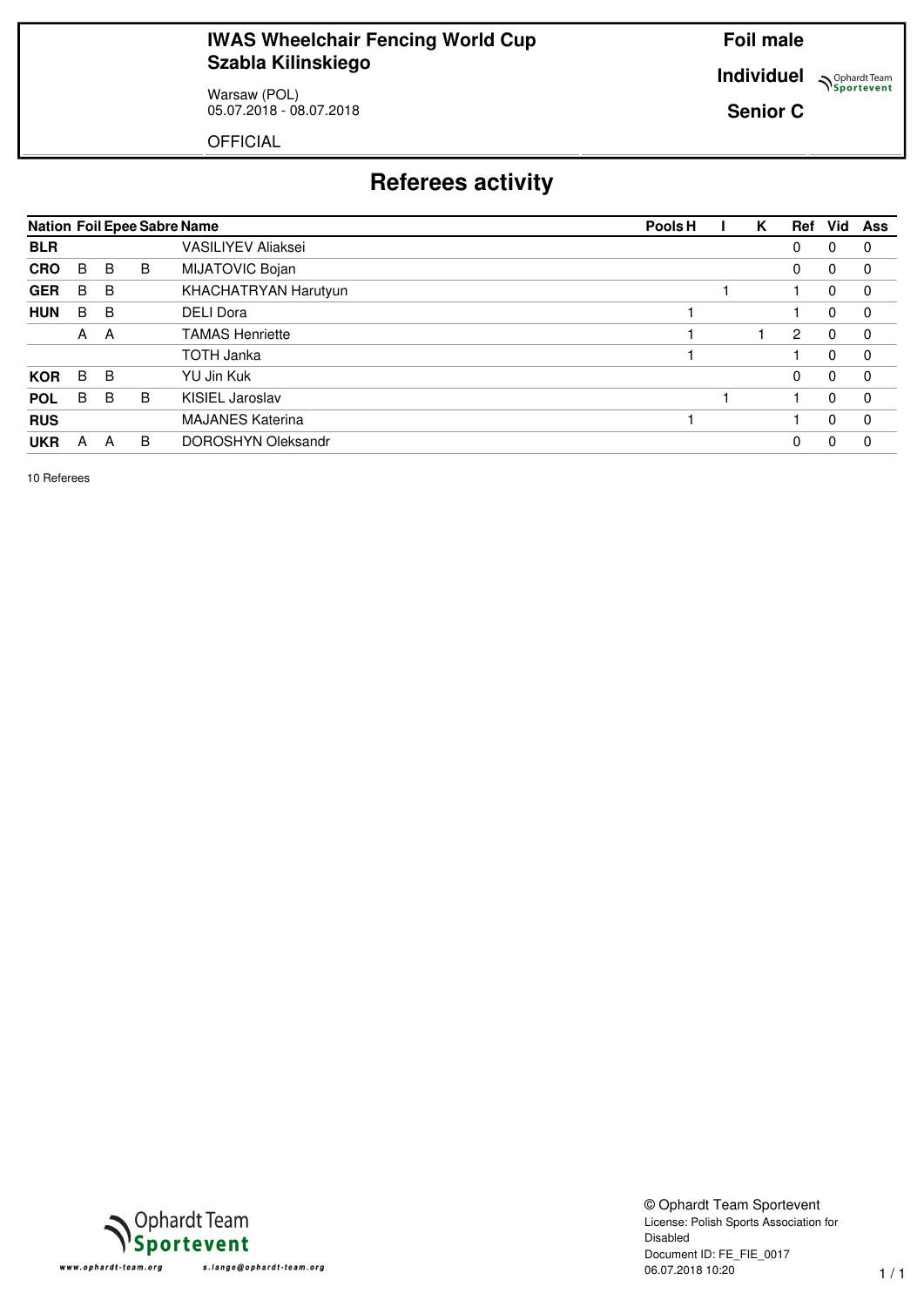Warsaw (POL) 05.07.2018 - 08.07.2018 **Foil male**

**Individuel Sportevent** 

**Senior C**

OFFICIAL

# **Referees activity**

|            |   |   |   | <b>Nation Foil Epee Sabre Name</b> | Vid<br>Pools <sub>H</sub><br>Ref<br>Κ<br>Ass<br>0<br>0<br>0<br>0<br>0<br>0<br>2<br>$\Omega$<br>0<br>0<br>0<br>0<br>0 |  |  |   |   |             |
|------------|---|---|---|------------------------------------|----------------------------------------------------------------------------------------------------------------------|--|--|---|---|-------------|
| <b>BLR</b> |   |   |   | <b>VASILIYEV Aliaksei</b>          |                                                                                                                      |  |  |   |   | 0           |
| <b>CRO</b> | B | B | B | MIJATOVIC Bojan                    |                                                                                                                      |  |  |   |   | 0           |
| <b>GER</b> | B | B |   | KHACHATRYAN Harutyun               |                                                                                                                      |  |  |   |   | 0           |
| <b>HUN</b> | B | B |   | <b>DELI Dora</b>                   |                                                                                                                      |  |  |   |   | $\mathbf 0$ |
|            | A | A |   | <b>TAMAS Henriette</b>             |                                                                                                                      |  |  |   |   | $\mathbf 0$ |
|            |   |   |   | <b>TOTH Janka</b>                  |                                                                                                                      |  |  |   |   | $\mathbf 0$ |
| <b>KOR</b> | B | B |   | YU Jin Kuk                         |                                                                                                                      |  |  |   |   | $\mathbf 0$ |
| <b>POL</b> | B | B | B | KISIEL Jaroslav                    |                                                                                                                      |  |  |   |   | $\mathbf 0$ |
| <b>RUS</b> |   |   |   | <b>MAJANES Katerina</b>            |                                                                                                                      |  |  |   |   | $\mathbf 0$ |
| <b>UKR</b> | А | A | B | DOROSHYN Oleksandr                 |                                                                                                                      |  |  | 0 | 0 | 0           |

10 Referees



© Ophardt Team Sportevent License: Polish Sports Association for Disabled Document ID: FE\_FIE\_0017 06.07.2018 10:20 1 / 1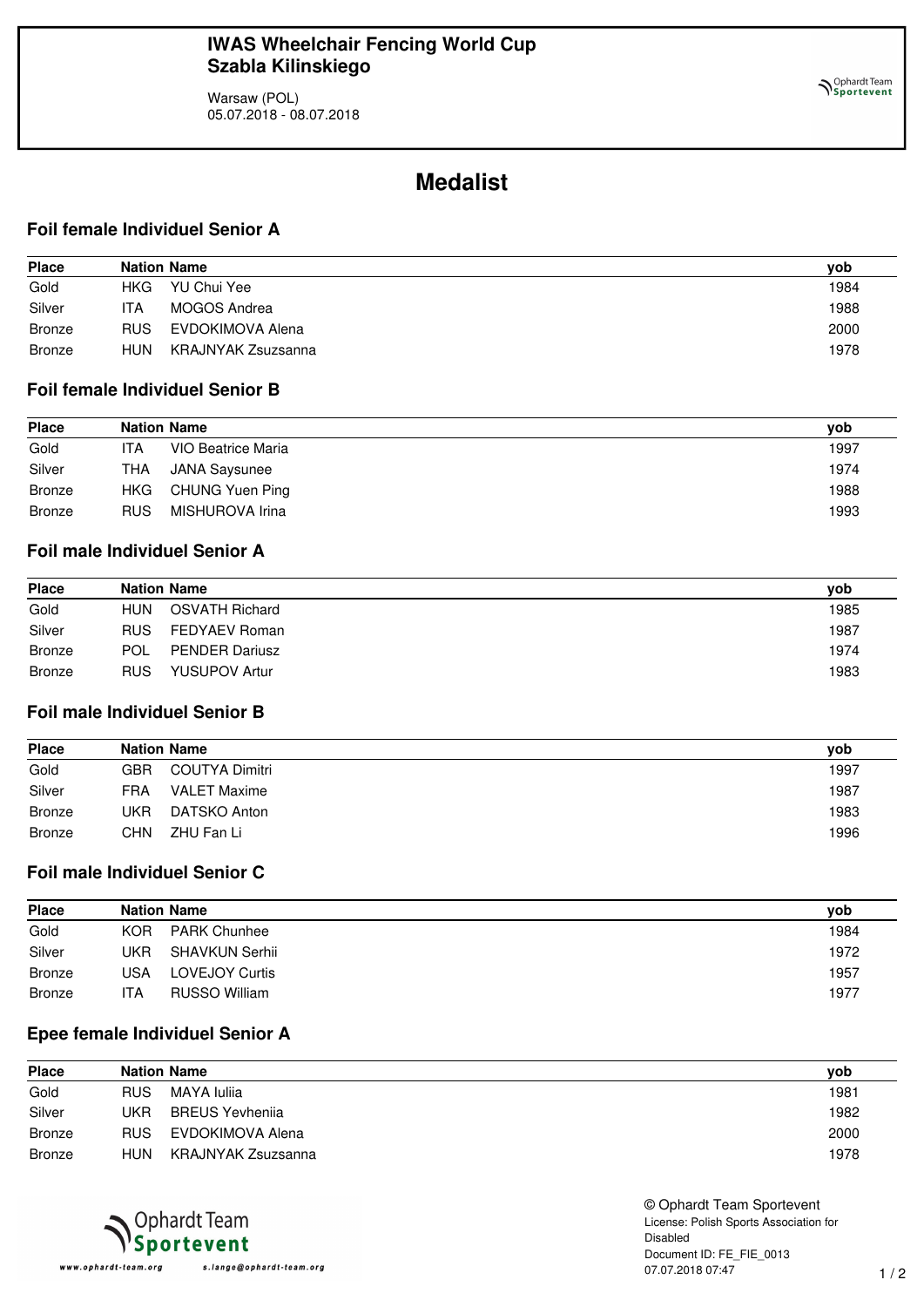Warsaw (POL) 05.07.2018 - 08.07.2018

## **Medalist**

#### **Foil female Individuel Senior A**

| <b>Place</b>  |            | <b>Nation Name</b> | yob  |
|---------------|------------|--------------------|------|
| Gold          | HKG.       | YU Chui Yee        | 1984 |
| Silver        | ITA        | MOGOS Andrea       | 1988 |
| <b>Bronze</b> | <b>RUS</b> | EVDOKIMOVA Alena   | 2000 |
| <b>Bronze</b> | <b>HUN</b> | KRAJNYAK Zsuzsanna | 1978 |

### **Foil female Individuel Senior B**

| <b>Place</b>  | <b>Nation Name</b> |                    | vob  |
|---------------|--------------------|--------------------|------|
| Gold          | ITA                | VIO Beatrice Maria | 1997 |
| Silver        | <b>THA</b>         | JANA Saysunee      | 1974 |
| Bronze        | HKG.               | CHUNG Yuen Ping    | 1988 |
| <b>Bronze</b> | <b>RUS</b>         | MISHUROVA Irina    | 1993 |

### **Foil male Individuel Senior A**

| <b>Place</b>  | <b>Nation Name</b> |                       | vob  |
|---------------|--------------------|-----------------------|------|
| Gold          | HUN                | <b>OSVATH Richard</b> | 1985 |
| Silver        | RUS.               | FEDYAEV Roman         | 1987 |
| Bronze        | <b>POL</b>         | <b>PENDER Dariusz</b> | 1974 |
| <b>Bronze</b> | <b>RUS</b>         | <b>YUSUPOV Artur</b>  | 1983 |

### **Foil male Individuel Senior B**

| <b>Place</b>  | <b>Nation Name</b> |                     |      |
|---------------|--------------------|---------------------|------|
| Gold          | GBR                | COUTYA Dimitri      | 1997 |
| Silver        | <b>FRA</b>         | <b>VALET Maxime</b> | 1987 |
| <b>Bronze</b> | JKR                | DATSKO Anton        | 1983 |
| <b>Bronze</b> | CHN                | ZHU Fan Li          | 1996 |

#### **Foil male Individuel Senior C**

| <b>Place</b>  | <b>Nation Name</b> |                     |      |
|---------------|--------------------|---------------------|------|
| Gold          | KOR.               | <b>PARK Chunhee</b> | 1984 |
| Silver        | UKR                | SHAVKUN Serhii      | 1972 |
| <b>Bronze</b> | USA                | LOVEJOY Curtis      | 1957 |
| <b>Bronze</b> | ITA.               | RUSSO William       | 1977 |

### **Epee female Individuel Senior A**

| <b>Place</b>  | <b>Nation Name</b> |                        |      |
|---------------|--------------------|------------------------|------|
| Gold          | <b>RUS</b>         | MAYA Iuliia            | 1981 |
| Silver        | UKR                | <b>BREUS Yevheniia</b> | 1982 |
| <b>Bronze</b> | <b>RUS</b>         | EVDOKIMOVA Alena       | 2000 |
| <b>Bronze</b> | <b>HUN</b>         | KRAJNYAK Zsuzsanna     | 1978 |